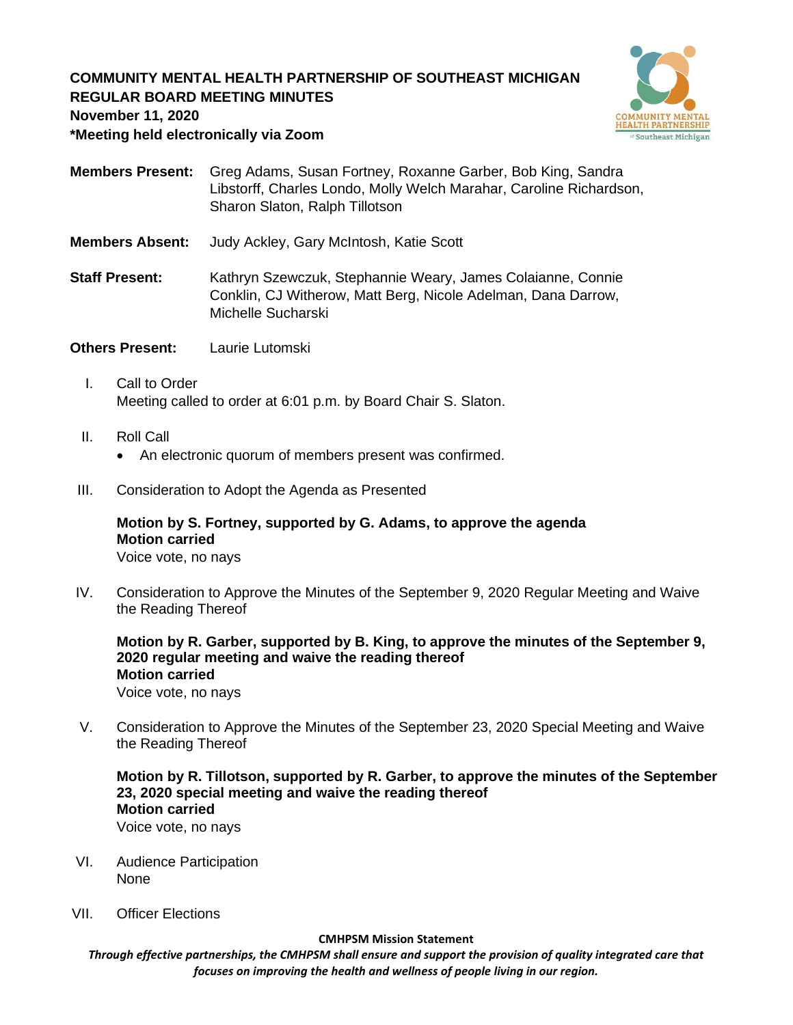## **COMMUNITY MENTAL HEALTH PARTNERSHIP OF SOUTHEAST MICHIGAN REGULAR BOARD MEETING MINUTES**



**November 11, 2020**

**\*Meeting held electronically via Zoom**

- **Members Present:** Greg Adams, Susan Fortney, Roxanne Garber, Bob King, Sandra Libstorff, Charles Londo, Molly Welch Marahar, Caroline Richardson, Sharon Slaton, Ralph Tillotson
- **Members Absent:** Judy Ackley, Gary McIntosh, Katie Scott
- **Staff Present:** Kathryn Szewczuk, Stephannie Weary, James Colaianne, Connie Conklin, CJ Witherow, Matt Berg, Nicole Adelman, Dana Darrow, Michelle Sucharski
- **Others Present:** Laurie Lutomski
	- I. Call to Order Meeting called to order at 6:01 p.m. by Board Chair S. Slaton.
	- II. Roll Call
		- An electronic quorum of members present was confirmed.
- III. Consideration to Adopt the Agenda as Presented

# **Motion by S. Fortney, supported by G. Adams, to approve the agenda Motion carried**

Voice vote, no nays

IV. Consideration to Approve the Minutes of the September 9, 2020 Regular Meeting and Waive the Reading Thereof

**Motion by R. Garber, supported by B. King, to approve the minutes of the September 9, 2020 regular meeting and waive the reading thereof Motion carried** Voice vote, no nays

V. Consideration to Approve the Minutes of the September 23, 2020 Special Meeting and Waive the Reading Thereof

# **Motion by R. Tillotson, supported by R. Garber, to approve the minutes of the September 23, 2020 special meeting and waive the reading thereof Motion carried**

Voice vote, no nays

- VI. Audience Participation None
- VII. Officer Elections

#### **CMHPSM Mission Statement**

*Through effective partnerships, the CMHPSM shall ensure and support the provision of quality integrated care that focuses on improving the health and wellness of people living in our region.*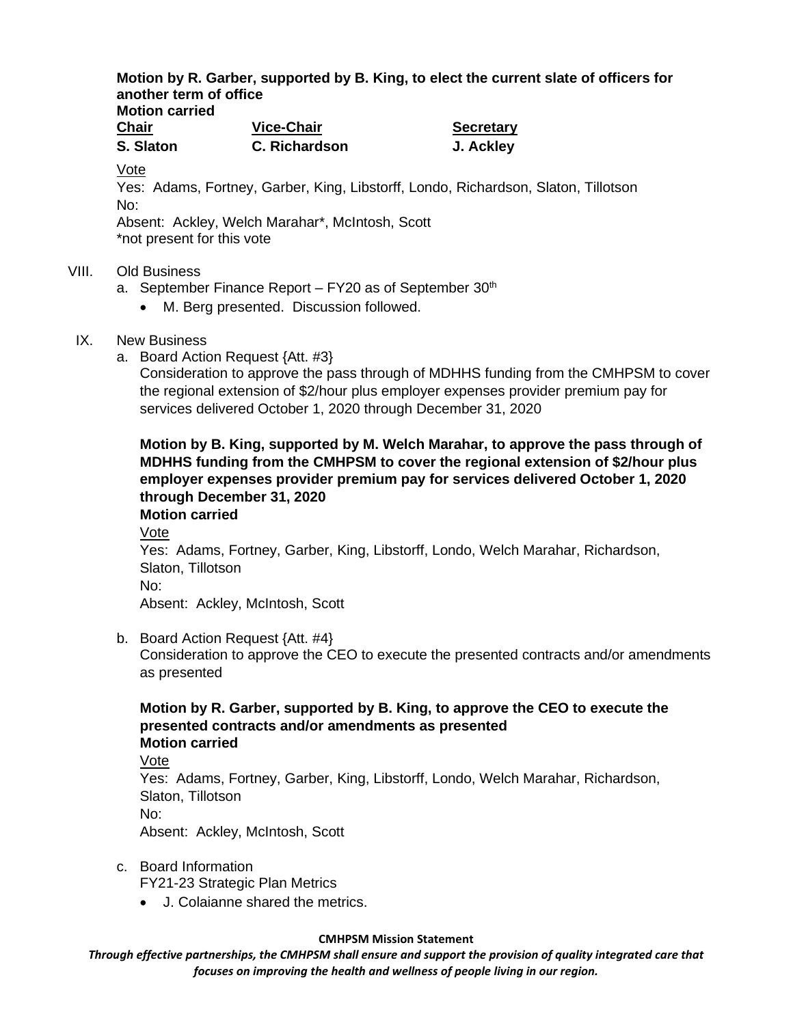#### **Motion by R. Garber, supported by B. King, to elect the current slate of officers for another term of office Motion carried**

| MULIUII VALIITU |                   |                  |
|-----------------|-------------------|------------------|
| <b>Chair</b>    | <b>Vice-Chair</b> | <b>Secretary</b> |
| S. Slaton       | C. Richardson     | J. Ackley        |

Vote

Yes: Adams, Fortney, Garber, King, Libstorff, Londo, Richardson, Slaton, Tillotson No:

Absent: Ackley, Welch Marahar\*, McIntosh, Scott \*not present for this vote

## VIII. Old Business

- a. September Finance Report  $-$  FY20 as of September 30<sup>th</sup>
	- M. Berg presented. Discussion followed.
- IX. New Business
	- a. Board Action Request {Att. #3}

Consideration to approve the pass through of MDHHS funding from the CMHPSM to cover the regional extension of \$2/hour plus employer expenses provider premium pay for services delivered October 1, 2020 through December 31, 2020

**Motion by B. King, supported by M. Welch Marahar, to approve the pass through of MDHHS funding from the CMHPSM to cover the regional extension of \$2/hour plus employer expenses provider premium pay for services delivered October 1, 2020 through December 31, 2020**

**Motion carried** Vote Yes: Adams, Fortney, Garber, King, Libstorff, Londo, Welch Marahar, Richardson, Slaton, Tillotson No: Absent: Ackley, McIntosh, Scott

b. Board Action Request {Att. #4}

Consideration to approve the CEO to execute the presented contracts and/or amendments as presented

## **Motion by R. Garber, supported by B. King, to approve the CEO to execute the presented contracts and/or amendments as presented Motion carried**

Vote Yes: Adams, Fortney, Garber, King, Libstorff, Londo, Welch Marahar, Richardson, Slaton, Tillotson No: Absent: Ackley, McIntosh, Scott

- c. Board Information FY21-23 Strategic Plan Metrics
	- J. Colaianne shared the metrics.

### **CMHPSM Mission Statement**

*Through effective partnerships, the CMHPSM shall ensure and support the provision of quality integrated care that focuses on improving the health and wellness of people living in our region.*